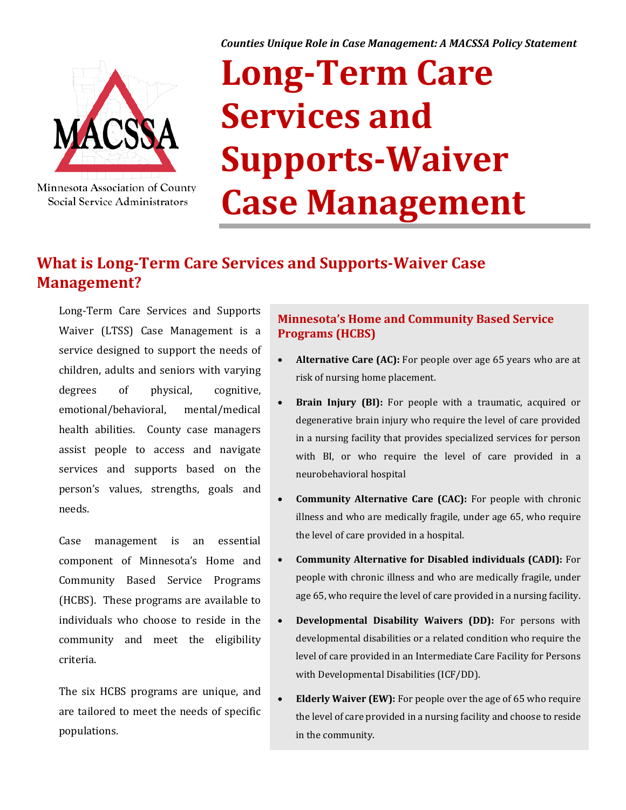*Counties Unique Role in Case Management: A MACSSA Policy Statement*



Minnesota Association of County Social Service Administrators

# **Long-Term Care Services and Supports-Waiver Case Management**

# **What is Long-Term Care Services and Supports-Waiver Case Management?**

Long-Term Care Services and Supports Waiver (LTSS) Case Management is a service designed to support the needs of children, adults and seniors with varying degrees of physical, cognitive, emotional/behavioral, mental/medical health abilities. County case managers assist people to access and navigate services and supports based on the person's values, strengths, goals and needs.

Case management is an essential component of Minnesota's Home and Community Based Service Programs (HCBS). These programs are available to individuals who choose to reside in the community and meet the eligibility criteria.

The six HCBS programs are unique, and are tailored to meet the needs of specific populations.

#### **Minnesota's Home and Community Based Service Programs (HCBS)**

- **Alternative Care (AC):** For people over age 65 years who are at risk of nursing home placement.
- **Brain Injury (BI):** For people with a traumatic, acquired or degenerative brain injury who require the level of care provided in a nursing facility that provides specialized services for person with BI, or who require the level of care provided in a neurobehavioral hospital
- **Community Alternative Care (CAC):** For people with chronic illness and who are medically fragile, under age 65, who require the level of care provided in a hospital.
- **Community Alternative for Disabled individuals (CADI):** For people with chronic illness and who are medically fragile, under age 65, who require the level of care provided in a nursing facility.
- **Developmental Disability Waivers (DD):** For persons with developmental disabilities or a related condition who require the level of care provided in an Intermediate Care Facility for Persons with Developmental Disabilities (ICF/DD).
- **Elderly Waiver (EW):** For people over the age of 65 who require the level of care provided in a nursing facility and choose to reside in the community.